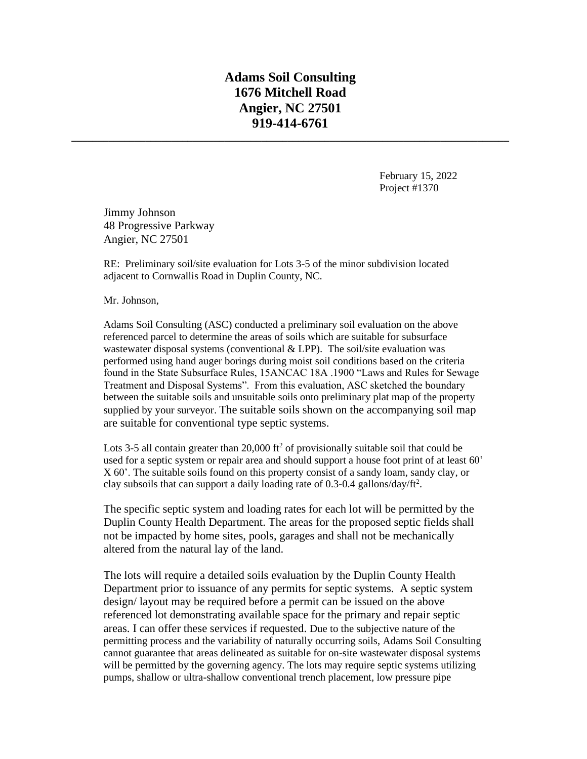## **Adams Soil Consulting 1676 Mitchell Road Angier, NC 27501 919-414-6761**

**\_\_\_\_\_\_\_\_\_\_\_\_\_\_\_\_\_\_\_\_\_\_\_\_\_\_\_\_\_\_\_\_\_\_\_\_\_\_\_\_\_\_\_\_\_\_\_\_\_\_\_\_\_\_\_\_\_\_\_\_\_\_\_\_\_\_\_\_\_\_\_\_\_\_\_\_\_\_\_\_\_\_\_**

February 15, 2022 Project #1370

Jimmy Johnson 48 Progressive Parkway Angier, NC 27501

RE: Preliminary soil/site evaluation for Lots 3-5 of the minor subdivision located adjacent to Cornwallis Road in Duplin County, NC.

Mr. Johnson,

Adams Soil Consulting (ASC) conducted a preliminary soil evaluation on the above referenced parcel to determine the areas of soils which are suitable for subsurface wastewater disposal systems (conventional  $&$  LPP). The soil/site evaluation was performed using hand auger borings during moist soil conditions based on the criteria found in the State Subsurface Rules, 15ANCAC 18A .1900 "Laws and Rules for Sewage Treatment and Disposal Systems". From this evaluation, ASC sketched the boundary between the suitable soils and unsuitable soils onto preliminary plat map of the property supplied by your surveyor. The suitable soils shown on the accompanying soil map are suitable for conventional type septic systems.

Lots 3-5 all contain greater than 20,000 ft<sup>2</sup> of provisionally suitable soil that could be used for a septic system or repair area and should support a house foot print of at least 60' X 60'. The suitable soils found on this property consist of a sandy loam, sandy clay, or clay subsoils that can support a daily loading rate of  $0.3$ -0.4 gallons/day/ft<sup>2</sup>.

The specific septic system and loading rates for each lot will be permitted by the Duplin County Health Department. The areas for the proposed septic fields shall not be impacted by home sites, pools, garages and shall not be mechanically altered from the natural lay of the land.

The lots will require a detailed soils evaluation by the Duplin County Health Department prior to issuance of any permits for septic systems. A septic system design/ layout may be required before a permit can be issued on the above referenced lot demonstrating available space for the primary and repair septic areas. I can offer these services if requested. Due to the subjective nature of the permitting process and the variability of naturally occurring soils, Adams Soil Consulting cannot guarantee that areas delineated as suitable for on-site wastewater disposal systems will be permitted by the governing agency. The lots may require septic systems utilizing pumps, shallow or ultra-shallow conventional trench placement, low pressure pipe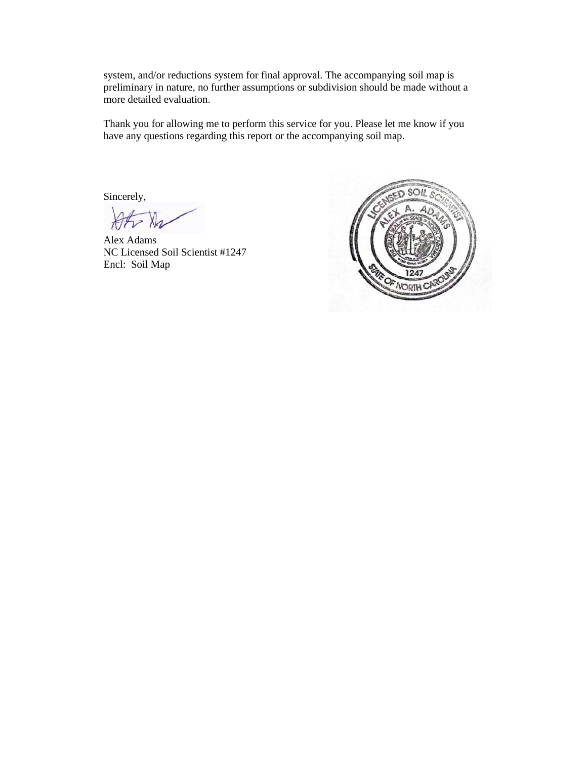system, and/or reductions system for final approval. The accompanying soil map is preliminary in nature, no further assumptions or subdivision should be made without a more detailed evaluation.

Thank you for allowing me to perform this service for you. Please let me know if you have any questions regarding this report or the accompanying soil map.

Sincerely,

 $\frac{1}{\sqrt{2}}$ 

Alex Adams NC Licensed Soil Scientist #1247 Encl: Soil Map